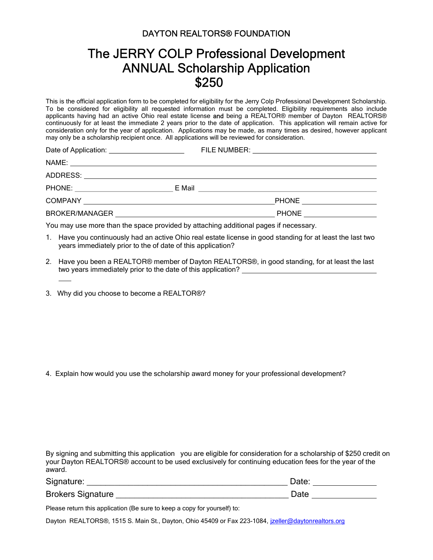## DAYTON REALTORS® FOUNDATION

## The JERRY COLP Professional Development ANNUAL Scholarship Application \$250

This is the official application form to be completed for eligibility for the Jerry Colp Professional Development Scholarship. To be considered for eligibility all requested information must be completed. Eligibility requirements also include applicants having had an active Ohio real estate license and being a REALTOR® member of Dayton REALTORS® continuously for at least the immediate 2 years prior to the date of application. This application will remain active for consideration only for the year of application. Applications may be made, as many times as desired, however applicant may only be a scholarship recipient once. All applications will be reviewed for consideration.

| PHONE ______________________ |
|------------------------------|
| PHONE ______________________ |
|                              |

You may use more than the space provided by attaching additional pages if necessary.

- 1. Have you continuously had an active Ohio real estate license in good standing for at least the last two years immediately prior to the of date of this application?
- 2. Have you been a REALTOR® member of Dayton REALTORS®, in good standing, for at least the last two years immediately prior to the date of this application?
- 3. Why did you choose to become a REALTOR®?

4. Explain how would you use the scholarship award money for your professional development?

By signing and submitting this application you are eligible for consideration for a scholarship of \$250 credit on your Dayton REALTORS® account to be used exclusively for continuing education fees for the year of the award.

| Signature:               | Date |
|--------------------------|------|
| <b>Brokers Signature</b> | Date |

Please return this application (Be sure to keep a copy for yourself) to:

Dayton REALTORS®, 1515 S. Main St., Dayton, Ohio 45409 or Fax 223-1084, izeller@daytonrealtors.org